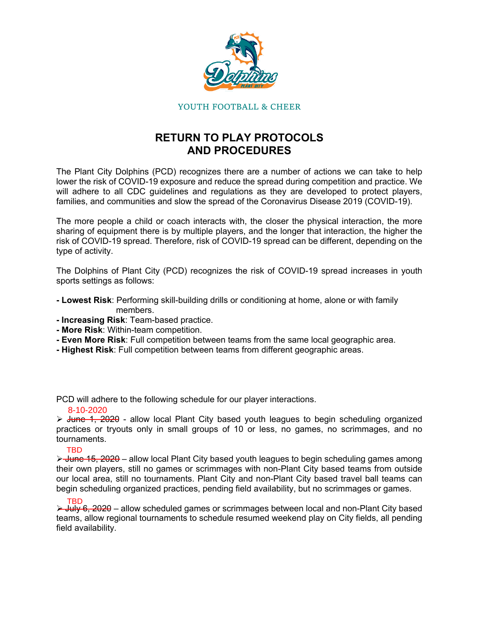

#### YOUTH FOOTBALL & CHEER

# **RETURN TO PLAY PROTOCOLS AND PROCEDURES**

The Plant City Dolphins (PCD) recognizes there are a number of actions we can take to help lower the risk of COVID-19 exposure and reduce the spread during competition and practice. We will adhere to all CDC guidelines and regulations as they are developed to protect players, families, and communities and slow the spread of the Coronavirus Disease 2019 (COVID-19).

The more people a child or coach interacts with, the closer the physical interaction, the more sharing of equipment there is by multiple players, and the longer that interaction, the higher the risk of COVID-19 spread. Therefore, risk of COVID-19 spread can be different, depending on the type of activity.

The Dolphins of Plant City (PCD) recognizes the risk of COVID-19 spread increases in youth sports settings as follows:

- **Lowest Risk**: Performing skill-building drills or conditioning at home, alone or with family members.
- **Increasing Risk**: Team-based practice.
- **More Risk**: Within-team competition.
- **Even More Risk**: Full competition between teams from the same local geographic area.
- **Highest Risk**: Full competition between teams from different geographic areas.

PCD will adhere to the following schedule for our player interactions.

#### 8-10-2020

 $\triangleright$  June 1, 2020 - allow local Plant City based youth leagues to begin scheduling organized practices or tryouts only in small groups of 10 or less, no games, no scrimmages, and no tournaments.

#### TBD

 $\rightarrow$  June 15, 2020 – allow local Plant City based youth leagues to begin scheduling games among their own players, still no games or scrimmages with non-Plant City based teams from outside our local area, still no tournaments. Plant City and non-Plant City based travel ball teams can begin scheduling organized practices, pending field availability, but no scrimmages or games.

 $\rightarrow$  July 6, 2020 – allow scheduled games or scrimmages between local and non-Plant City based teams, allow regional tournaments to schedule resumed weekend play on City fields, all pending field availability. TBD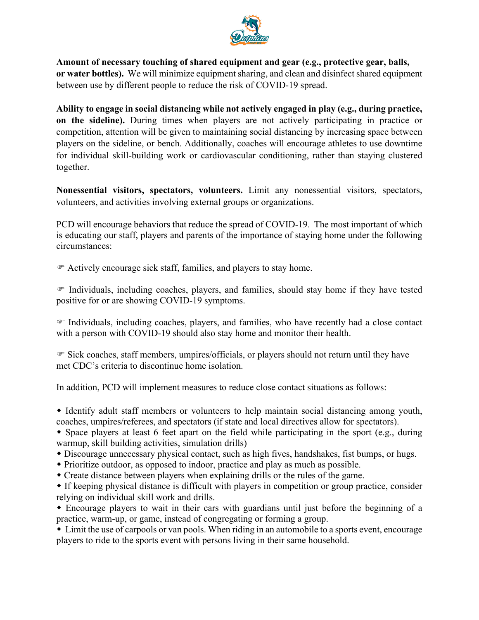

**Amount of necessary touching of shared equipment and gear (e.g., protective gear, balls, or water bottles).** We will minimize equipment sharing, and clean and disinfect shared equipment between use by different people to reduce the risk of COVID-19 spread.

**Ability to engage in social distancing while not actively engaged in play (e.g., during practice, on the sideline).** During times when players are not actively participating in practice or competition, attention will be given to maintaining [social distancing](https://www.cdc.gov/coronavirus/2019-ncov/prevent-getting-sick/social-distancing.html) by increasing space between players on the sideline, or bench. Additionally, coaches will encourage athletes to use downtime for individual skill-building work or cardiovascular conditioning, rather than staying clustered together.

**Nonessential visitors, spectators, volunteers.** Limit any nonessential visitors, spectators, volunteers, and activities involving external groups or organizations.

PCD will encourage behaviors that reduce the spread of COVID-19. The most important of which is educating our staff, players and parents of the importance of staying home under the following circumstances:

Actively encourage sick staff, families, and players to stay home.

 $\mathcal F$  [Individuals, including coaches, players, and families, should stay home](https://www.cdc.gov/coronavirus/2019-ncov/if-you-are-sick/steps-when-sick.html) if they have tested positive for or are showing COVID-19 [symptoms.](https://www.cdc.gov/coronavirus/2019-ncov/symptoms-testing/symptoms.html?CDC_AA_refVal=https%253A%252F%252Fwww.cdc.gov%252Fcoronavirus%252F2019-ncov%252Fabout%252Fsymptoms.html)

 Individuals, including coaches, players, and families, who have recently had a [close contact](https://www.cdc.gov/coronavirus/2019-ncov/php/public-health-recommendations.html)  with a person with COVID-19 should also [stay home and monitor their health.](https://www.cdc.gov/coronavirus/2019-ncov/if-you-are-sick/quarantine-isolation.html)

 $\mathcal F$  Sick coaches, staff members, umpires/officials, or players should not return until they have met CDC's [criteria to discontinue home isolation.](https://www.cdc.gov/coronavirus/2019-ncov/if-you-are-sick/steps-when-sick.html)

In addition, PCD will implement measures to reduce close contact situations as follows:

 Identify adult staff members or volunteers to help maintain [social distancing](https://www.cdc.gov/coronavirus/2019-ncov/prevent-getting-sick/social-distancing.html) among youth, coaches, umpires/referees, and spectators (if state and local directives allow for spectators).

 Space players at least 6 feet apart on the field while participating in the sport (e.g., during warmup, skill building activities, simulation drills)

- Discourage unnecessary physical contact, such as high fives, handshakes, fist bumps, or hugs.
- Prioritize outdoor, as opposed to indoor, practice and play as much as possible.
- Create distance between players when explaining drills or the rules of the game.

 If keeping physical distance is difficult with players in competition or group practice, consider relying on individual skill work and drills.

 Encourage players to wait in their cars with guardians until just before the beginning of a practice, warm-up, or game, instead of congregating or forming a group.

 Limit the use of carpools or van pools. When riding in an automobile to a sports event, encourage players to ride to the sports event with persons living in their same household.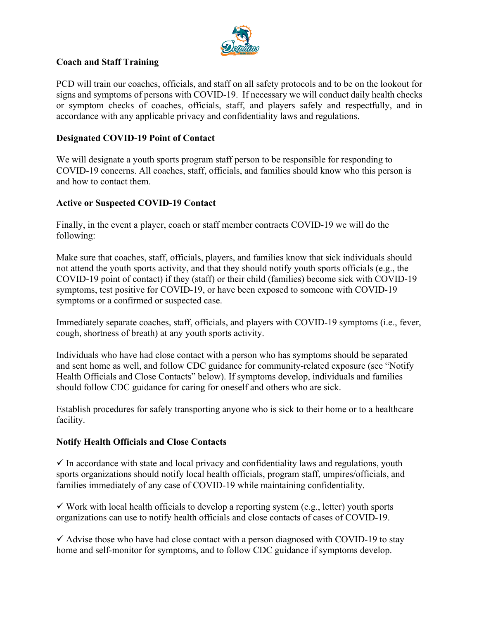

## **Coach and Staff Training**

PCD will train our coaches, officials, and staff on all safety protocols and to be on the lookout for signs and symptoms of persons with COVID-19. If necessary we will conduct daily health checks or [symptom checks](https://www.cdc.gov/coronavirus/2019-ncov/symptoms-testing/symptoms.html?CDC_AA_refVal=https%253A%252F%252Fwww.cdc.gov%252Fcoronavirus%252F2019-ncov%252Fabout%252Fsymptoms.html) of coaches, officials, staff, and players safely and respectfully, and in accordance with any applicable privacy and confidentiality laws and regulations.

## **Designated COVID-19 Point of Contact**

We will designate a youth sports program staff person to be responsible for responding to COVID-19 concerns. All coaches, staff, officials, and families should know who this person is and how to contact them.

## **Active or Suspected COVID-19 Contact**

Finally, in the event a player, coach or staff member contracts COVID-19 we will do the following:

Make sure that coaches, staff, officials, players, and families know that sick individuals should not attend the youth sports activity, and that they should notify youth sports officials (e.g., the COVID-19 point of contact) if they (staff) or their child (families) become sick with COVID-19 [symptoms](https://www.cdc.gov/coronavirus/2019-ncov/communication/print-resources.html?Sort=Date%253A%253Adesc), test positive for COVID-19, or have been [exposed](https://www.cdc.gov/coronavirus/2019-ncov/php/public-health-recommendations.html) to someone with COVID-19 symptoms or a confirmed or suspected case.

Immediately separate coaches, staff, officials, and players with COVID-19 [symptoms](https://www.cdc.gov/coronavirus/2019-ncov/communication/print-resources.html?Sort=Date%253A%253Adesc) (i.e., fever, cough, shortness of breath) at any youth sports activity.

Individuals who have had [close contact](https://www.cdc.gov/coronavirus/2019-ncov/php/public-health-recommendations.html) with a person who has [symptoms](https://www.cdc.gov/coronavirus/2019-ncov/communication/print-resources.html?Sort=Date%253A%253Adesc) should be separated and sent home as well, and follow [CDC guidance for community-related exposure](https://www.cdc.gov/coronavirus/2019-ncov/php/public-health-recommendations.html) (see "Notify Health Officials and Close Contacts" below). If symptoms develop, individuals and families should follow [CDC guidance for caring for oneself and others](https://www.cdc.gov/coronavirus/2019-ncov/if-you-are-sick/index.html) who are sick.

Establish procedures for safely transporting anyone who is sick to their home or to a healthcare facility.

#### **Notify Health Officials and Close Contacts**

 $\checkmark$  In accordance with state and local privacy and confidentiality laws and regulations, youth sports organizations should notify [local health officials,](https://www.cdc.gov/publichealthgateway/healthdirectories/index.html) program staff, umpires/officials, and families immediately of any case of COVID-19 while maintaining confidentiality.

 $\checkmark$  Work with [local health officials](https://www.cdc.gov/publichealthgateway/healthdirectories/index.html) to develop a reporting system (e.g., letter) youth sports organizations can use to notify health officials and close contacts of cases of COVID-19.

 $\checkmark$  Advise those who have had [close contact](https://www.cdc.gov/coronavirus/2019-ncov/php/public-health-recommendations.html) with a person diagnosed with COVID-19 to stay home and [self-monitor for symptoms,](https://www.cdc.gov/coronavirus/2019-ncov/if-you-are-sick/quarantine-isolation.html) and to follow [CDC guidance](https://www.cdc.gov/coronavirus/2019-ncov/if-you-are-sick/steps-when-sick.html) if symptoms develop.